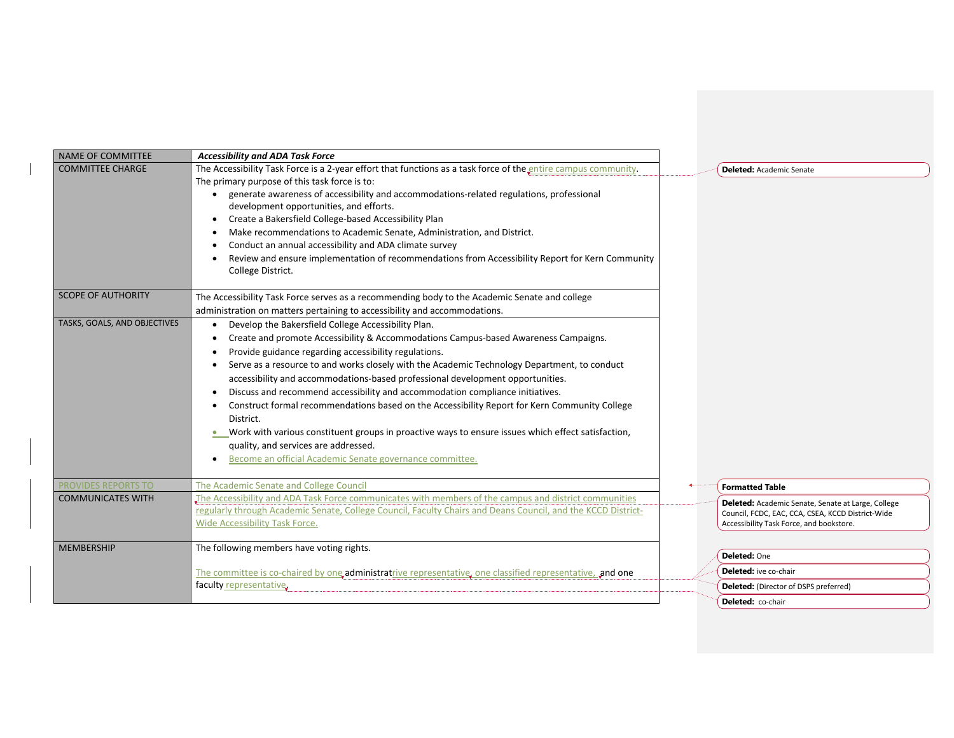| NAME OF COMMITTEE            | <b>Accessibility and ADA Task Force</b>                                                                                                                                                                                                                                                                                                                                                                                                                                                                                                                                                                                                                                                                                                                                                                     |                                                                                                                                                     |
|------------------------------|-------------------------------------------------------------------------------------------------------------------------------------------------------------------------------------------------------------------------------------------------------------------------------------------------------------------------------------------------------------------------------------------------------------------------------------------------------------------------------------------------------------------------------------------------------------------------------------------------------------------------------------------------------------------------------------------------------------------------------------------------------------------------------------------------------------|-----------------------------------------------------------------------------------------------------------------------------------------------------|
| <b>COMMITTEE CHARGE</b>      | The Accessibility Task Force is a 2-year effort that functions as a task force of the entire campus community.<br>The primary purpose of this task force is to:<br>generate awareness of accessibility and accommodations-related regulations, professional<br>development opportunities, and efforts.<br>Create a Bakersfield College-based Accessibility Plan<br>$\bullet$<br>Make recommendations to Academic Senate, Administration, and District.<br>Conduct an annual accessibility and ADA climate survey<br>Review and ensure implementation of recommendations from Accessibility Report for Kern Community<br>College District.                                                                                                                                                                   | <b>Deleted:</b> Academic Senate                                                                                                                     |
| <b>SCOPE OF AUTHORITY</b>    | The Accessibility Task Force serves as a recommending body to the Academic Senate and college<br>administration on matters pertaining to accessibility and accommodations.                                                                                                                                                                                                                                                                                                                                                                                                                                                                                                                                                                                                                                  |                                                                                                                                                     |
| TASKS, GOALS, AND OBJECTIVES | Develop the Bakersfield College Accessibility Plan.<br>Create and promote Accessibility & Accommodations Campus-based Awareness Campaigns.<br>Provide guidance regarding accessibility regulations.<br>Serve as a resource to and works closely with the Academic Technology Department, to conduct<br>accessibility and accommodations-based professional development opportunities.<br>Discuss and recommend accessibility and accommodation compliance initiatives.<br>Construct formal recommendations based on the Accessibility Report for Kern Community College<br>District.<br>Work with various constituent groups in proactive ways to ensure issues which effect satisfaction,<br>$\bullet$<br>quality, and services are addressed.<br>Become an official Academic Senate governance committee. |                                                                                                                                                     |
| <b>PROVIDES REPORTS TO</b>   | The Academic Senate and College Council                                                                                                                                                                                                                                                                                                                                                                                                                                                                                                                                                                                                                                                                                                                                                                     | <b>Formatted Table</b>                                                                                                                              |
| <b>COMMUNICATES WITH</b>     | The Accessibility and ADA Task Force communicates with members of the campus and district communities<br>regularly through Academic Senate, College Council, Faculty Chairs and Deans Council, and the KCCD District-<br>Wide Accessibility Task Force.                                                                                                                                                                                                                                                                                                                                                                                                                                                                                                                                                     | Deleted: Academic Senate, Senate at Large, College<br>Council, FCDC, EAC, CCA, CSEA, KCCD District-Wide<br>Accessibility Task Force, and bookstore. |
| <b>MEMBERSHIP</b>            | The following members have voting rights.                                                                                                                                                                                                                                                                                                                                                                                                                                                                                                                                                                                                                                                                                                                                                                   | Deleted: One                                                                                                                                        |
|                              | The committee is co-chaired by one administratrive representative, one classified representative, and one                                                                                                                                                                                                                                                                                                                                                                                                                                                                                                                                                                                                                                                                                                   | <b>Deleted:</b> ive co-chair                                                                                                                        |
|                              | faculty representative.                                                                                                                                                                                                                                                                                                                                                                                                                                                                                                                                                                                                                                                                                                                                                                                     | Deleted: (Director of DSPS preferred)                                                                                                               |
|                              |                                                                                                                                                                                                                                                                                                                                                                                                                                                                                                                                                                                                                                                                                                                                                                                                             | <b>Deleted:</b> co-chair                                                                                                                            |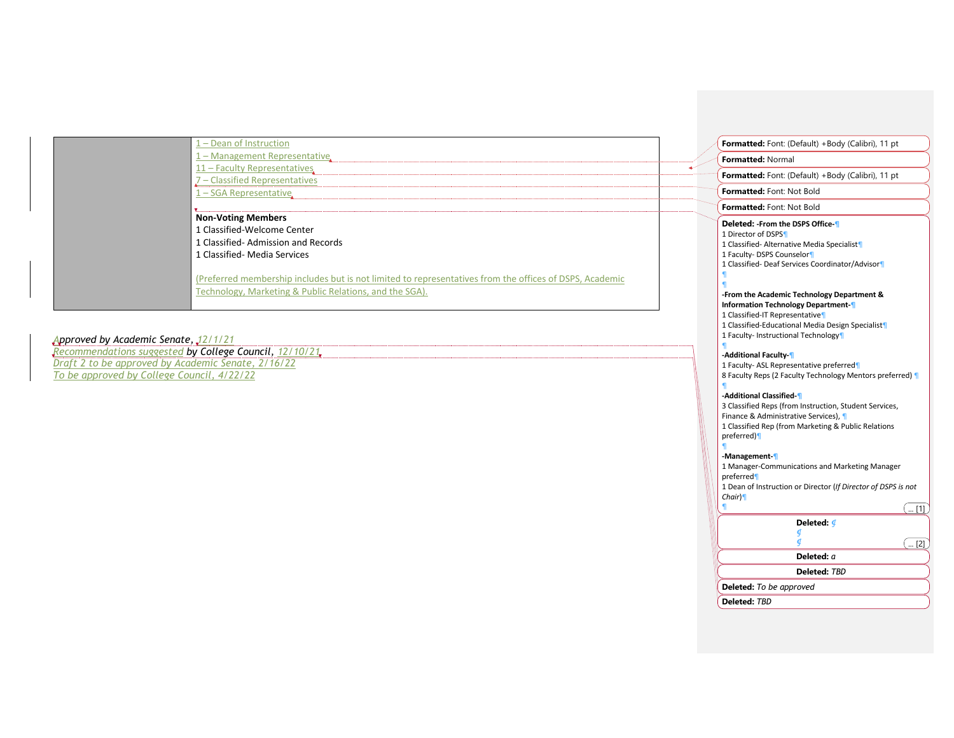| 1 - Dean of Instruction                                                                                                                                            | Formatted: Font: (Default) +Body (Calibri), 11 pt                                                                                                                                    |
|--------------------------------------------------------------------------------------------------------------------------------------------------------------------|--------------------------------------------------------------------------------------------------------------------------------------------------------------------------------------|
| 1 - Management Representative.                                                                                                                                     | <b>Formatted: Normal</b>                                                                                                                                                             |
| 11 - Faculty Representatives                                                                                                                                       | Formatted: Font: (Default) +Body (Calibri), 11 pt                                                                                                                                    |
| 7 - Classified Representatives                                                                                                                                     |                                                                                                                                                                                      |
| $1 - SGA$ Representative                                                                                                                                           | <b>Formatted: Font: Not Bold</b>                                                                                                                                                     |
|                                                                                                                                                                    | Formatted: Font: Not Bold                                                                                                                                                            |
| <b>Non-Voting Members</b><br>1 Classified-Welcome Center<br>1 Classified-Admission and Records<br>1 Classified- Media Services                                     | Deleted: -From the DSPS Office-1<br>1 Director of DSPS<br>1 Classified- Alternative Media Specialist<br>1 Faculty- DSPS Counselor<br>1 Classified- Deaf Services Coordinator/Advisor |
| (Preferred membership includes but is not limited to representatives from the offices of DSPS, Academic<br>Technology, Marketing & Public Relations, and the SGA). | -From the Academic Technology Department &<br><b>Information Technology Department-</b>                                                                                              |

*Approved by Academic Senate, 12/1/21 Recommendations suggested by College Council, 12/10/21 Draft 2 to be approved by Academic Senate, 2/16/22 To be approved by College Council, 4/22/22*

## **-Additional Classified-¶**

**-Additional Faculty-¶**

¶

¶

¶

1 Classified-IT Representative¶

1 Faculty- Instructional Technology¶

1 Faculty- ASL Representative preferred¶

3 Classified Reps (from Instruction, Student Services, Finance & Administrative Services), ¶ 1 Classified Rep (from Marketing & Public Relations preferred)¶

8 Faculty Reps (2 Faculty Technology Mentors preferred) ¶

1 Classified-Educational Media Design Specialist¶

## **-Management-¶**

| 1 Manager-Communications and Marketing Manager<br>preferred   |        |
|---------------------------------------------------------------|--------|
| 1 Dean of Instruction or Director (If Director of DSPS is not |        |
| Chair                                                         |        |
| 91                                                            |        |
| Deleted: <i>4</i>                                             |        |
|                                                               |        |
|                                                               | $$ [2] |
| Deleted: a                                                    |        |
| Deleted: TBD                                                  |        |
| <b>Deleted:</b> To be approved                                |        |
| Deleted: TBD                                                  |        |